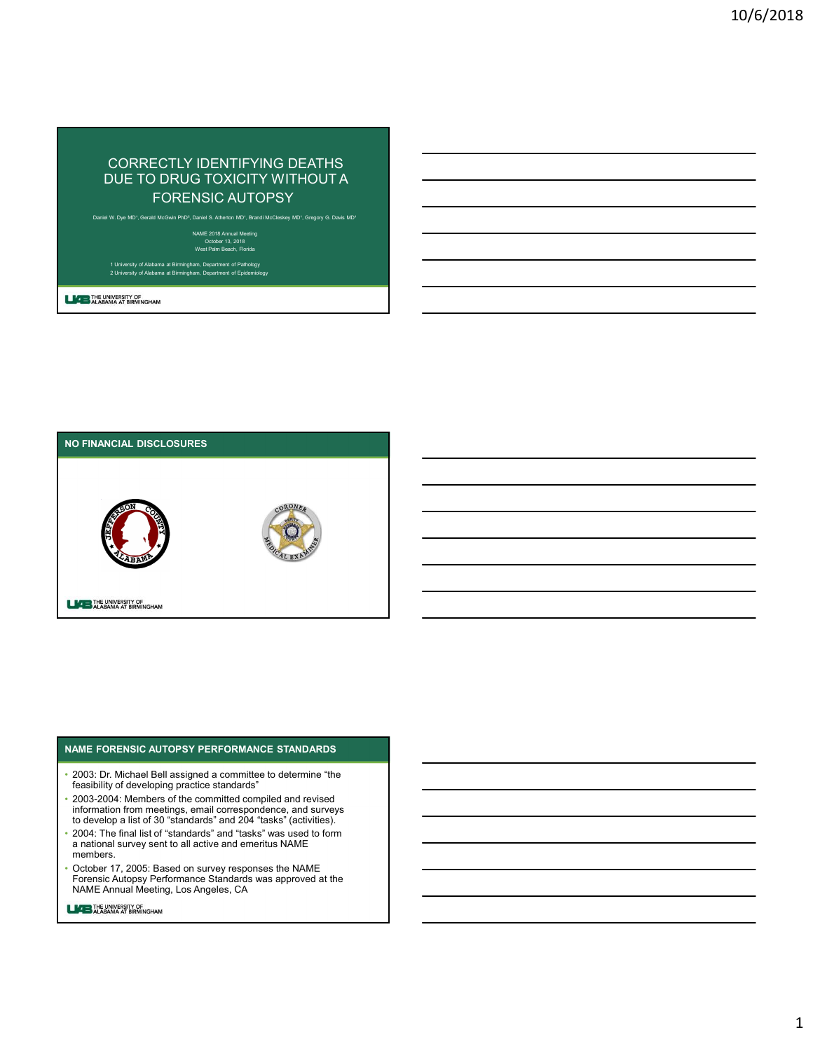# CORRECTLY IDENTIFYING DEATHS DUE TO DRUG TOXICITY WITHOUT A FORENSIC AUTOPSY CORRECTLY IDENTIFYING DEATHS<br>DUE TO DRUG TOXICITY WITHOUT A<br>FORENSIC AUTOPSY<br>Alabama at Birmingham, Department of Epidemiology 2 University of Department of Epidemiology 2 University of Epidemiology 2 University of Epidemi

Daniel W. Dye MD<sup>+</sup>, Gerald McGwin PhD<sup>2</sup>, Daniel S. Atherton MD<sup>+</sup>, Brandi McCleskey MD<sup>+</sup>, Gregory G. Davis MD<sup>+</sup>

NAME 2018 Annual Meeting<br>| October 13, 2018<br>| West Palm Beach, Florida



### NAME FORENSIC AUTOPSY PERFORMANCE STANDARDS

- 2003: Dr. Michael Bell assigned a committee to determine "the feasibility of developing practice standards"
- 2003-2004: Members of the committed compiled and revised information from meetings, email correspondence, and surveys to develop a list of 30 "standards" and 204 "tasks" (activities).
- 2004: The final list of "standards" and "tasks" was used to form a national survey sent to all active and emeritus NAME members.
- October 17, 2005: Based on survey responses the NAME Forensic Autopsy Performance Standards was approved at the NAME Annual Meeting, Los Angeles, CA
- **LACE THE UNIVERSITY OF** ALABAMA AT BIRMINGHAM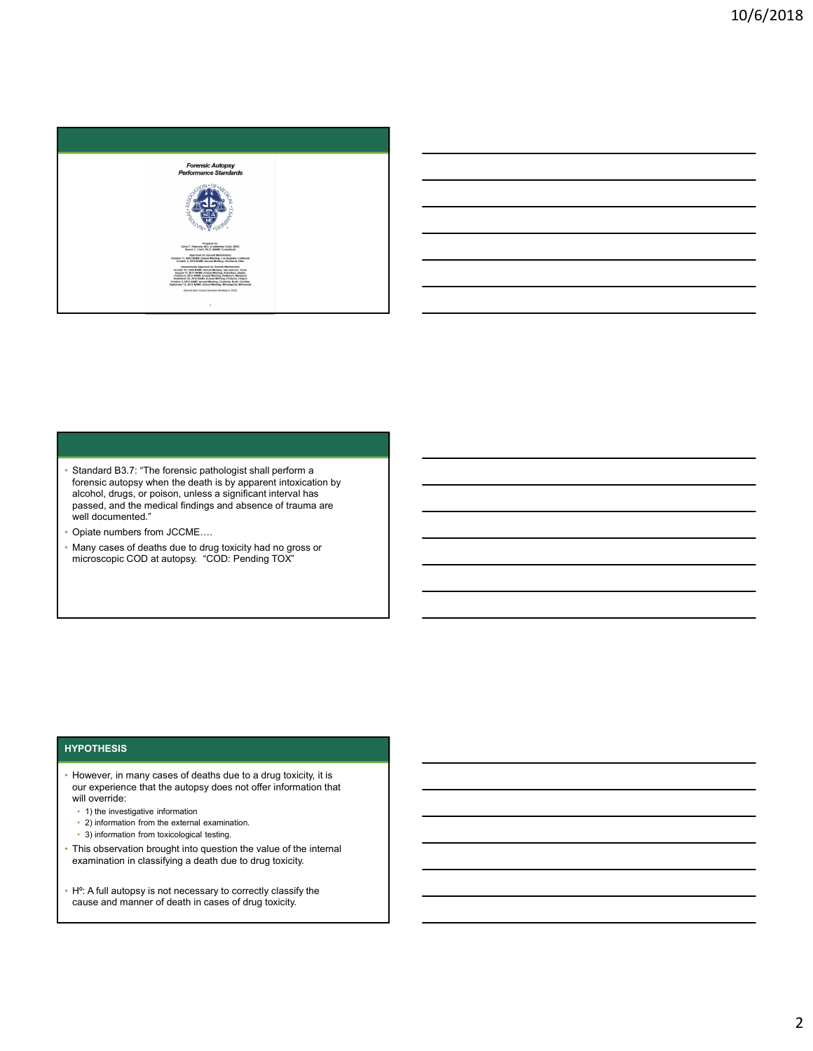



- Standard B3.7: "The forensic pathologist shall perform a forensic autopsy when the death is by apparent intoxication by alcohol, drugs, or poison, unless a significant interval has passed, and the medical findings and absence of trauma are well documented."
- Opiate numbers from JCCME….
- Many cases of deaths due to drug toxicity had no gross or microscopic COD at autopsy. "COD: Pending TOX"

### **HYPOTHESIS**

- However, in many cases of deaths due to a drug toxicity, it is our experience that the autopsy does not offer information that
	- $\cdot$  1) the investigative information
	- 2) information from the external examination.<br>• 3) information from toxicological testing.
	-
- This observation brought into question the value of the internal examination in classifying a death due to drug toxicity.
- H<sup>o</sup>: A full autopsy is not necessary to correctly classify the cause and manner of death in cases of drug toxicity.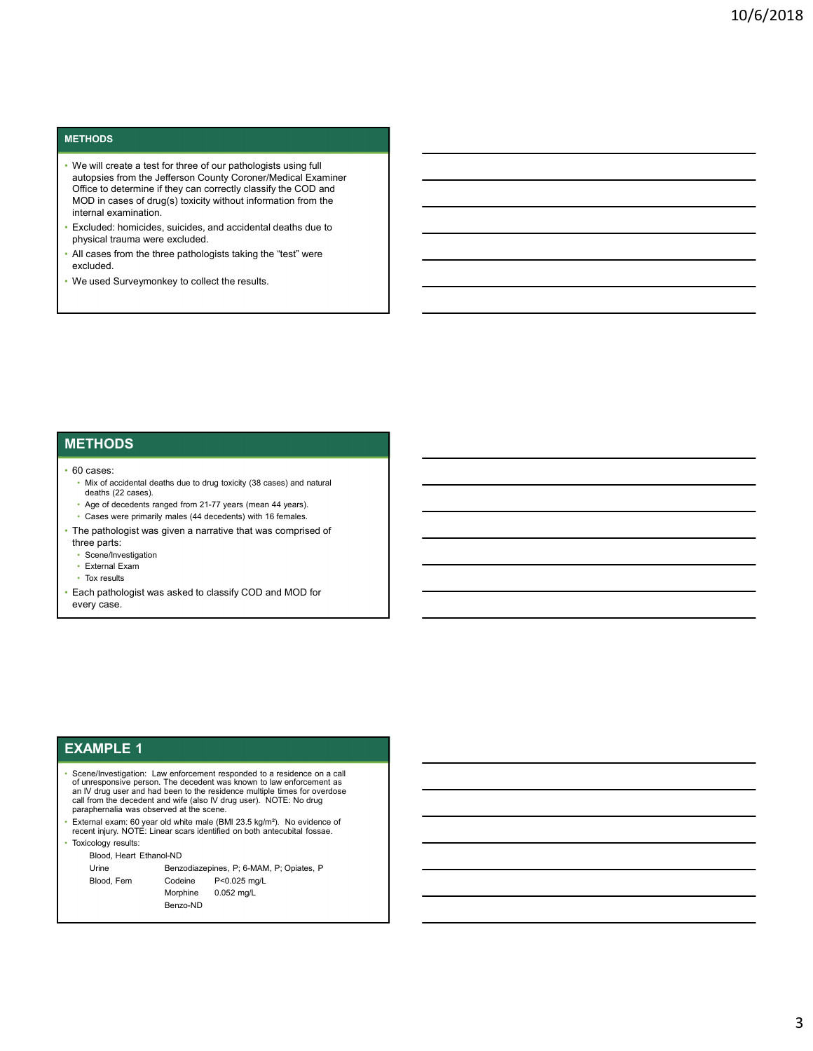### **METHODS**

- We will create a test for three of our pathologists using full autopsies from the Jefferson County Coroner/Medical Examiner Office to determine if they can correctly classify the COD and MOD in cases of drug(s) toxicity without information from the internal examination.
- Excluded: homicides, suicides, and accidental deaths due to physical trauma were excluded.
- All cases from the three pathologists taking the "test" were excluded.<br>• We used Surveymonkey to collect the results.
- 

# **METHODS**

### • 60 cases:

- Mix of accidental deaths due to drug toxicity (38 cases) and natural deaths (22 cases).<br>• Age of decedents ranged from 21-77 years (mean 44 years).<br>• Cases were primarily males (44 decedents) with 16 females.<br>• The pathologist was given a narrative that was comprised of
	-
	-
- three parts:
- Scene/Investigation
- External Exam
- Tox results
- Each pathologist was asked to classify COD and MOD for every case.

### EXAMPLE 1

- Scene/Investigation: Law enforcement responded to a residence on a call<br>of unresponsive person. The decedent was known to law enforcement as<br>an IV drug user and had been to the residence multiple times for overdose call from the decedent and wife (also IV drug user). NOTE: No drug paraphernalia was observed at the scene. paraphernalia was observed at the scene.<br>• External exam: 60 year old white male (BMI 23.5 kg/m²). No evidence of **produce the contract of the contract o** was voce permantly make (44 decesions) with 16 knows.<br>
and since were permantly make (44 decesions) with 16 knows.<br>
For easits<br>
for easits<br>
for easits<br>
for easits<br>
for easits<br>
for easits<br>
the mathematical content of the pr pathelogist was given a narrative that was comprised of<br>constructions<br>constant Exam<br>of the state of the state of the constant of the pathelogist<br>variation is considered to classify COD and MOD for<br>pathelogist was asked to plantitive years are selected to classify COD and MOD for<br>the main Example of the pathologist was asked to classify COD and MOD for<br>the main Example of the pathologist was asked to classify COD and MOD for<br>the main example asked to classify COD and MOD for<br>
wednessended to a neutron on a call<br>
The decree was forced to be enforcement as<br>
the decree was forced to the enforcement<br>
of the scale of the scale of the scale of the condition<br>
with a
- recent injury. NOTE: Linear scars identified on both antecubital fossae. Toxicology results:
- 

Benzo-ND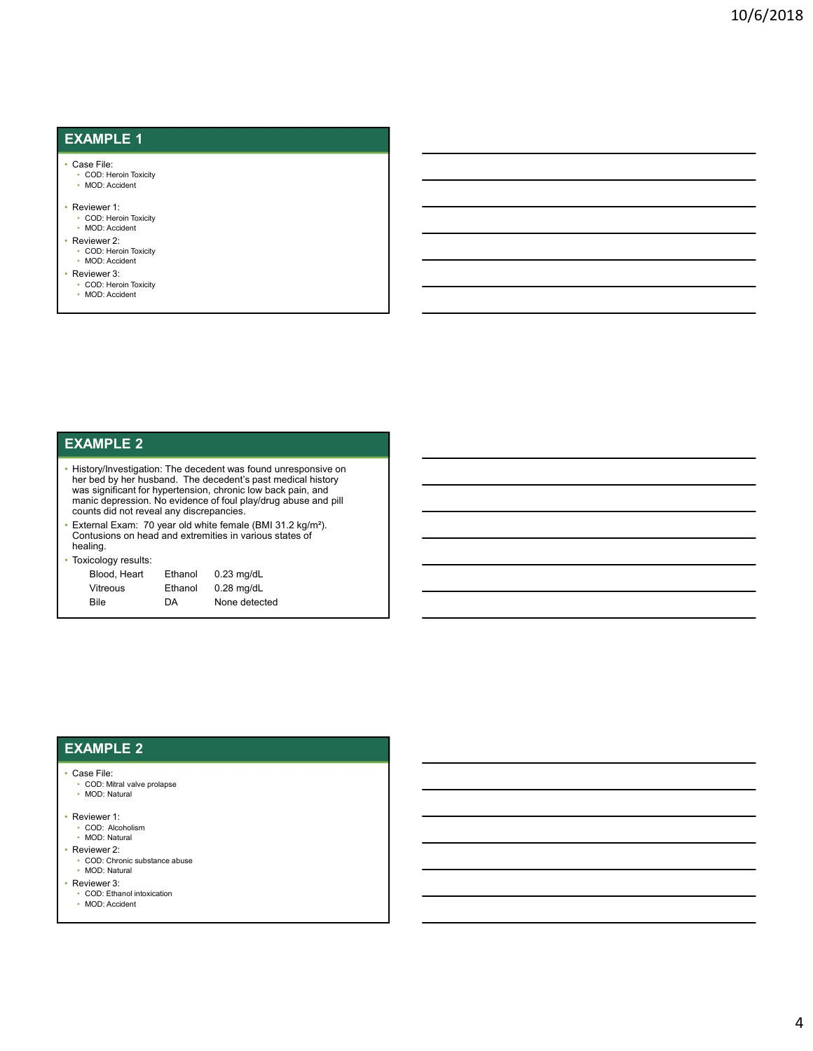## EXAMPLE 1

### • Case File:

• COD: Heroin Toxicity • MOD: Accident

### • Reviewer 1: • COD: Heroin Toxicity • MOD: Accident

- Reviewer 2:
- COD: Heroin Toxicity MOD: Accident
- Reviewer 3:
	- COD: Heroin Toxicity • MOD: Accident
- EXAMPLE 2
- History/Investigation: The decedent was found unresponsive on her bed by her husband. The decedent's past medical history was significant for hypertension, chronic low back pain, and manic depression. No evidence of foul play/drug abuse and pill counts did not reveal any discrepancies. NDC Accident<br>
Blood, Pricen Toxoty<br>
2001- Heron Toxoty<br>
2001- Heron Toxoty<br>
2002-<br>
Heart Ethanol 2.<br>
2007-<br>
2007-<br>
2007-<br>
2007-<br>
2007-<br>
2007-<br>
2007-<br>
2007-<br>
2007-<br>
2007-<br>
2007-<br>
2007-<br>
2007-<br>
2007-<br>
2007-<br>
2007-<br>
2007-<br>
20 Were<br>
Were S.<br>
With the state of the state of the state of the state of the state of the state of<br>
Which assume that the state of the state of the state of the state of the state of the state of the state of<br>
state of the MPILE 2<br>
SCO-Reisen<br>
COD : Heron Toxoty<br>
COD : Heron Toxoty<br>
COD : Acceleration of the phase and a The decedent's past medician history<br>
complement for the phase and control control control and spain, and<br>
is depression. N
- External Exam: 70 year old white female (BMI 31.2 kg/m²). Contusions on head and extremities in various states of healing.

### • Toxicology results:

| $\cdot$      |         |               |
|--------------|---------|---------------|
| Blood, Heart | Ethanol | $0.23$ mg/dL  |
| Vitreous     | Ethanol | $0.28$ mg/dL  |
| Bile         | DА      | None detected |

### EXAMPLE 2

### • Case File:

- COD: Mitral valve prolapse
- MOD: Natural
- Reviewer 1:
- COD: Alcoholism
- MOD: Natural
- Reviewer 2:
	- COD: Chronic substance abuse
- MOD: Natural
- Reviewer 3:
	- COD: Ethanol intoxication • MOD: Accident
	-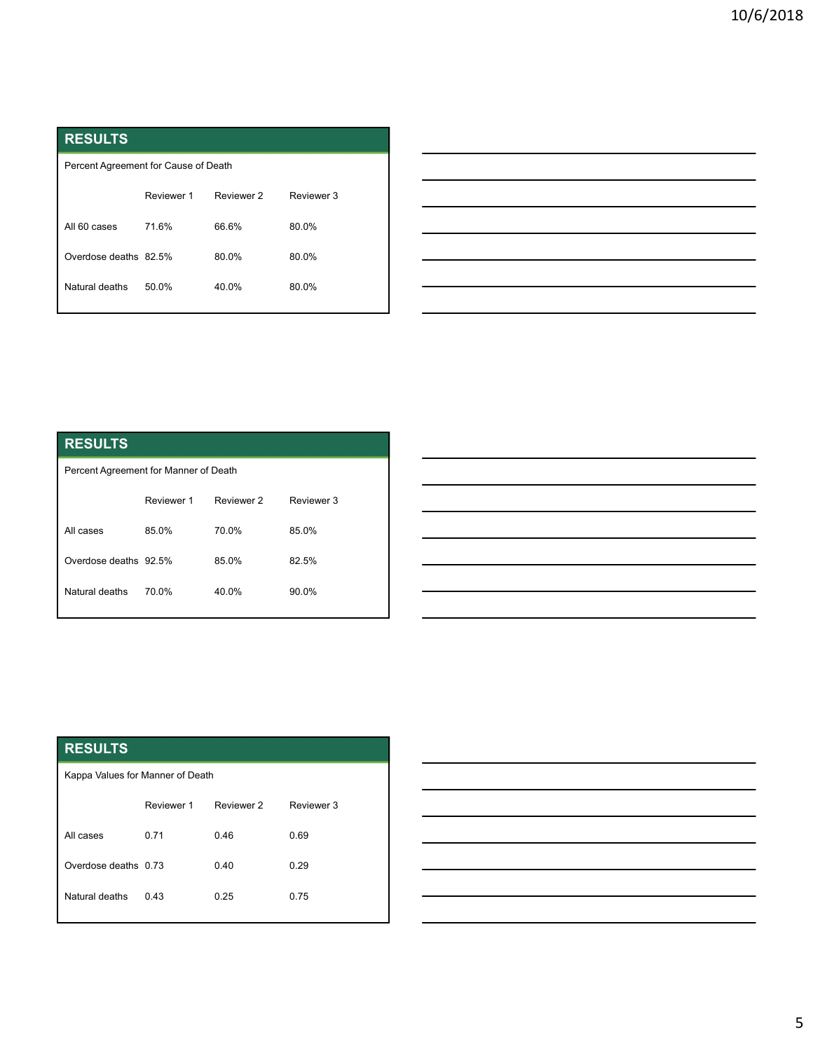| <b>RESULTS</b>                       |            |            |            |
|--------------------------------------|------------|------------|------------|
| Percent Agreement for Cause of Death |            |            |            |
|                                      |            | Reviewer 2 | Reviewer 3 |
|                                      | Reviewer 1 |            |            |
| All 60 cases                         | 71.6%      | 66.6%      | 80.0%      |
| Overdose deaths 82.5%                |            | 80.0%      | 80.0%      |
| Natural deaths                       | 50.0%      | 40.0%      | 80.0%      |
|                                      |            |            |            |
|                                      |            |            |            |

| t for Cause of Death<br>Reviewer 1<br>Reviewer 2<br>Reviewer 3<br>71.6%<br>66.6%<br>80.0%<br>82.5%<br>80.0%<br>80.0%<br>50.0%<br>40.0%<br>80.0%<br>t for Manner of Death<br>Reviewer 2<br>Reviewer 3<br>Reviewer 1<br>85.0%<br>70.0%<br>85.0%<br>85.0%<br>92.5%<br>82.5% |  |  |
|--------------------------------------------------------------------------------------------------------------------------------------------------------------------------------------------------------------------------------------------------------------------------|--|--|
|                                                                                                                                                                                                                                                                          |  |  |
|                                                                                                                                                                                                                                                                          |  |  |
|                                                                                                                                                                                                                                                                          |  |  |
|                                                                                                                                                                                                                                                                          |  |  |
|                                                                                                                                                                                                                                                                          |  |  |
|                                                                                                                                                                                                                                                                          |  |  |
|                                                                                                                                                                                                                                                                          |  |  |
|                                                                                                                                                                                                                                                                          |  |  |
|                                                                                                                                                                                                                                                                          |  |  |
|                                                                                                                                                                                                                                                                          |  |  |
|                                                                                                                                                                                                                                                                          |  |  |
|                                                                                                                                                                                                                                                                          |  |  |
|                                                                                                                                                                                                                                                                          |  |  |
|                                                                                                                                                                                                                                                                          |  |  |
|                                                                                                                                                                                                                                                                          |  |  |
|                                                                                                                                                                                                                                                                          |  |  |
|                                                                                                                                                                                                                                                                          |  |  |
|                                                                                                                                                                                                                                                                          |  |  |

# RESULTS

| Percent Agreement for Manner of Death |            |            |            |  |  |
|---------------------------------------|------------|------------|------------|--|--|
|                                       | Reviewer 1 | Reviewer 2 | Reviewer 3 |  |  |
| All cases                             | 85.0%      | 70.0%      | 85.0%      |  |  |
| Overdose deaths 92.5%                 |            | 85.0%      | 82.5%      |  |  |
| Natural deaths                        | 70.0%      | 40.0%      | 90.0%      |  |  |
|                                       |            |            |            |  |  |

|                                       | Reviewer 1 | Reviewer 2 | Reviewer 3 |
|---------------------------------------|------------|------------|------------|
| All 60 cases                          | 71.6%      | 66.6%      | 80.0%      |
| Overdose deaths 82.5%                 |            | 80.0%      | 80.0%      |
| Natural deaths                        | 50.0%      | 40.0%      | 80.0%      |
|                                       |            |            |            |
|                                       |            |            |            |
|                                       |            |            |            |
|                                       |            |            |            |
| <b>RESULTS</b>                        |            |            |            |
| Percent Agreement for Manner of Death |            |            |            |
|                                       | Reviewer 1 | Reviewer 2 | Reviewer 3 |
| All cases                             | 85.0%      | 70.0%      | 85.0%      |
| Overdose deaths 92.5%                 |            | 85.0%      | 82.5%      |
| Natural deaths                        | 70.0%      | 40.0%      | 90.0%      |
|                                       |            |            |            |
|                                       |            |            |            |
|                                       |            |            |            |
|                                       |            |            |            |
| <b>RESULTS</b>                        |            |            |            |
| Kappa Values for Manner of Death      |            |            |            |
|                                       | Reviewer 1 | Reviewer 2 | Reviewer 3 |
| All cases                             | 0.71       | $0.46\,$   | 0.69       |
| Overdose deaths 0.73                  |            | $0.40\,$   | 0.29       |
|                                       |            |            |            |

|                                  | Reviewer 1 | Reviewer 2 | Reviewer 3 |  |
|----------------------------------|------------|------------|------------|--|
| All cases                        | 85.0%      | 70.0%      | 85.0%      |  |
| Overdose deaths 92.5%            |            | 85.0%      | 82.5%      |  |
| Natural deaths                   | 70.0%      | 40.0%      | 90.0%      |  |
|                                  |            |            |            |  |
|                                  |            |            |            |  |
|                                  |            |            |            |  |
|                                  |            |            |            |  |
|                                  |            |            |            |  |
|                                  |            |            |            |  |
| <b>RESULTS</b>                   |            |            |            |  |
| Kappa Values for Manner of Death |            |            |            |  |
|                                  | Reviewer 1 | Reviewer 2 | Reviewer 3 |  |
| All cases                        | 0.71       | 0.46       | 0.69       |  |
| Overdose deaths 0.73             |            | 0.40       | 0.29       |  |
| Natural deaths                   | 0.43       | 0.25       | 0.75       |  |
|                                  |            |            |            |  |

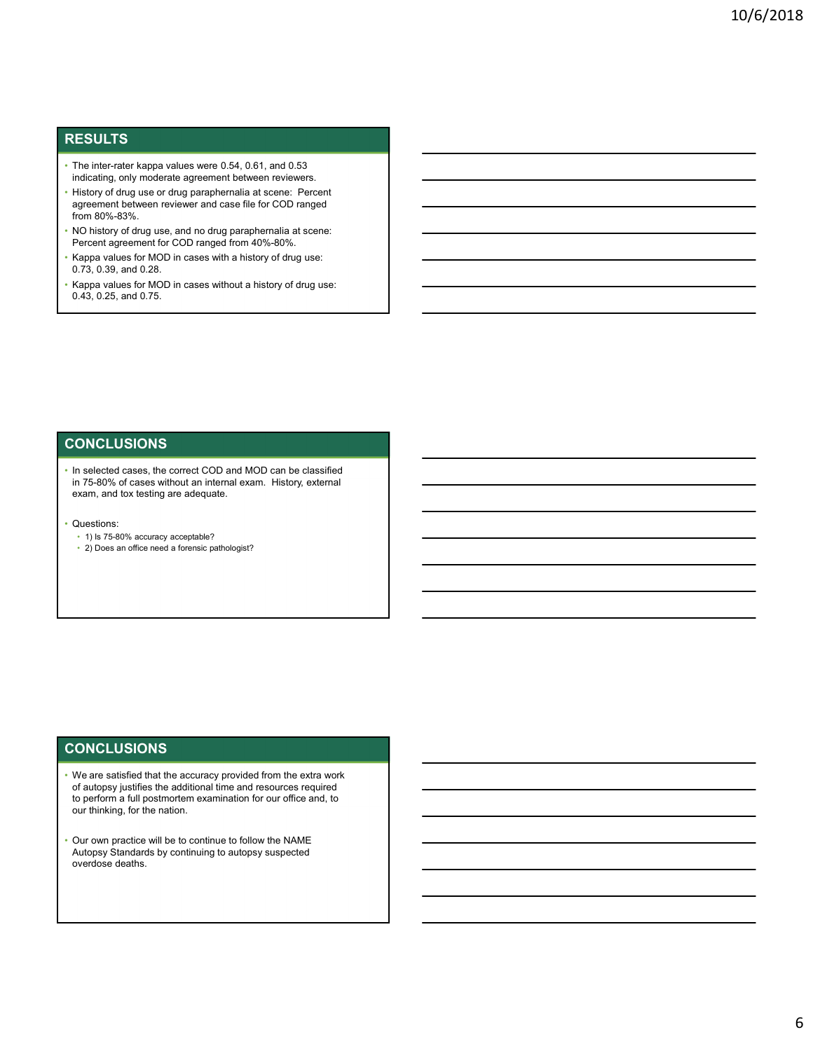### RESULTS

- The inter-rater kappa values were 0.54, 0.61, and 0.53
- indicating, only moderate agreement between reviewers. History of drug use or drug paraphernalia at scene: Percent agreement between reviewer and case file for COD ranged
- NO history of drug use, and no drug paraphernalia at scene:<br>Percent agreement for COD ranged from 40%-80%.
- Kappa values for MOD in cases with a history of drug use: 0.73, 0.39, and 0.28.
- Kappa values for MOD in cases without a history of drug use: 0.43, 0.25, and 0.75.

### **CONCLUSIONS**

- In selected cases, the correct COD and MOD can be classified in 75-80% of cases without an internal exam. History, external exam, and tox testing are adequate.
- Questions:
- 1) Is 75-80% accuracy acceptable?
- 2) Does an office need a forensic pathologist?

### **CONCLUSIONS**

- We are satisfied that the accuracy provided from the extra work of autopsy justifies the additional time and resources required to perform a full postmortem examination for our office and, to
- Our own practice will be to continue to follow the NAME Autopsy Standards by continuing to autopsy suspected overdose deaths.